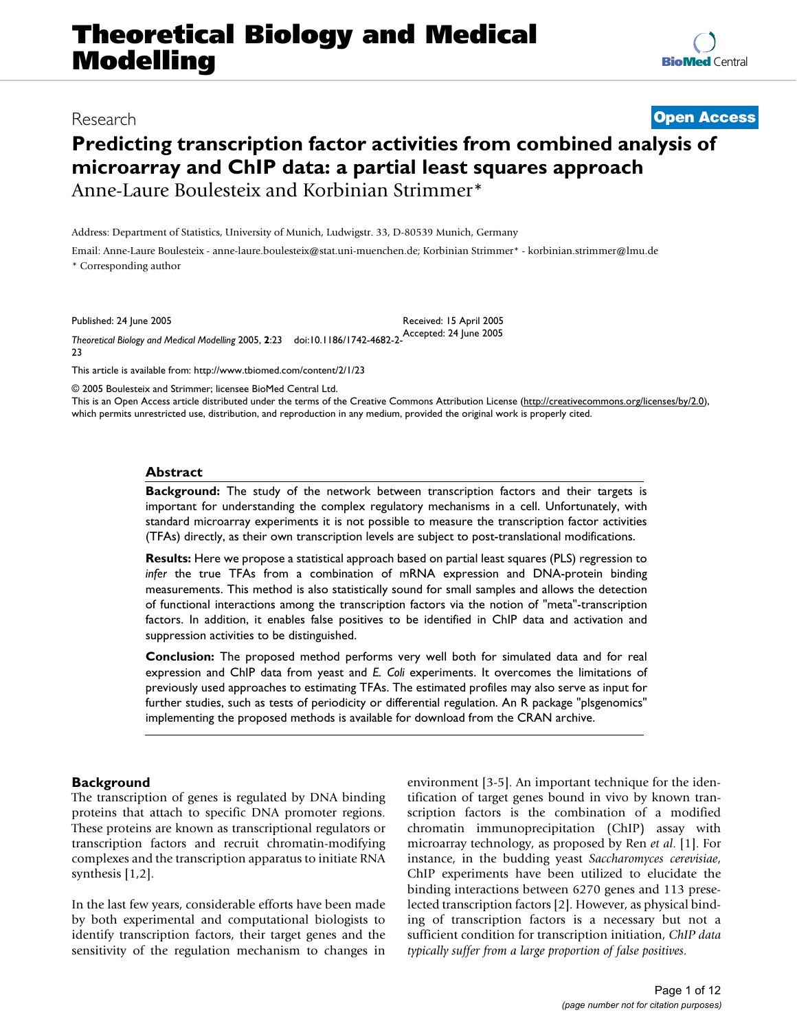# **Theoretical Biology and Medical Modelling**

# Research **[Open Access](http://www.biomedcentral.com/info/about/charter/)**

# **Predicting transcription factor activities from combined analysis of microarray and ChIP data: a partial least squares approach** Anne-Laure Boulesteix and Korbinian Strimmer\*

Address: Department of Statistics, University of Munich, Ludwigstr. 33, D-80539 Munich, Germany

Email: Anne-Laure Boulesteix - anne-laure.boulesteix@stat.uni-muenchen.de; Korbinian Strimmer\* - korbinian.strimmer@lmu.de \* Corresponding author

Published: 24 June 2005

*Theoretical Biology and Medical Modelling* 2005, **2**:23 doi:10.1186/1742-4682-2- Accepted: 24 June 2005 Received: 15 April 2005

23

[This article is available from: http://www.tbiomed.com/content/2/1/23](http://www.tbiomed.com/content/2/1/23)

© 2005 Boulesteix and Strimmer; licensee BioMed Central Ltd.

This is an Open Access article distributed under the terms of the Creative Commons Attribution License [\(http://creativecommons.org/licenses/by/2.0\)](http://creativecommons.org/licenses/by/2.0), which permits unrestricted use, distribution, and reproduction in any medium, provided the original work is properly cited.

# **Abstract**

**Background:** The study of the network between transcription factors and their targets is important for understanding the complex regulatory mechanisms in a cell. Unfortunately, with standard microarray experiments it is not possible to measure the transcription factor activities (TFAs) directly, as their own transcription levels are subject to post-translational modifications.

**Results:** Here we propose a statistical approach based on partial least squares (PLS) regression to *infer* the true TFAs from a combination of mRNA expression and DNA-protein binding measurements. This method is also statistically sound for small samples and allows the detection of functional interactions among the transcription factors via the notion of "meta"-transcription factors. In addition, it enables false positives to be identified in ChIP data and activation and suppression activities to be distinguished.

**Conclusion:** The proposed method performs very well both for simulated data and for real expression and ChIP data from yeast and *E. Coli* experiments. It overcomes the limitations of previously used approaches to estimating TFAs. The estimated profiles may also serve as input for further studies, such as tests of periodicity or differential regulation. An R package "plsgenomics" implementing the proposed methods is available for download from the CRAN archive.

# **Background**

The transcription of genes is regulated by DNA binding proteins that attach to specific DNA promoter regions. These proteins are known as transcriptional regulators or transcription factors and recruit chromatin-modifying complexes and the transcription apparatus to initiate RNA synthesis [1,2].

In the last few years, considerable efforts have been made by both experimental and computational biologists to identify transcription factors, their target genes and the sensitivity of the regulation mechanism to changes in environment [3-5]. An important technique for the identification of target genes bound in vivo by known transcription factors is the combination of a modified chromatin immunoprecipitation (ChIP) assay with microarray technology, as proposed by Ren *et al*. [1]. For instance, in the budding yeast *Saccharomyces cerevisiae*, ChIP experiments have been utilized to elucidate the binding interactions between 6270 genes and 113 preselected transcription factors [2]. However, as physical binding of transcription factors is a necessary but not a sufficient condition for transcription initiation, *ChIP data typically suffer from a large proportion of false positives*.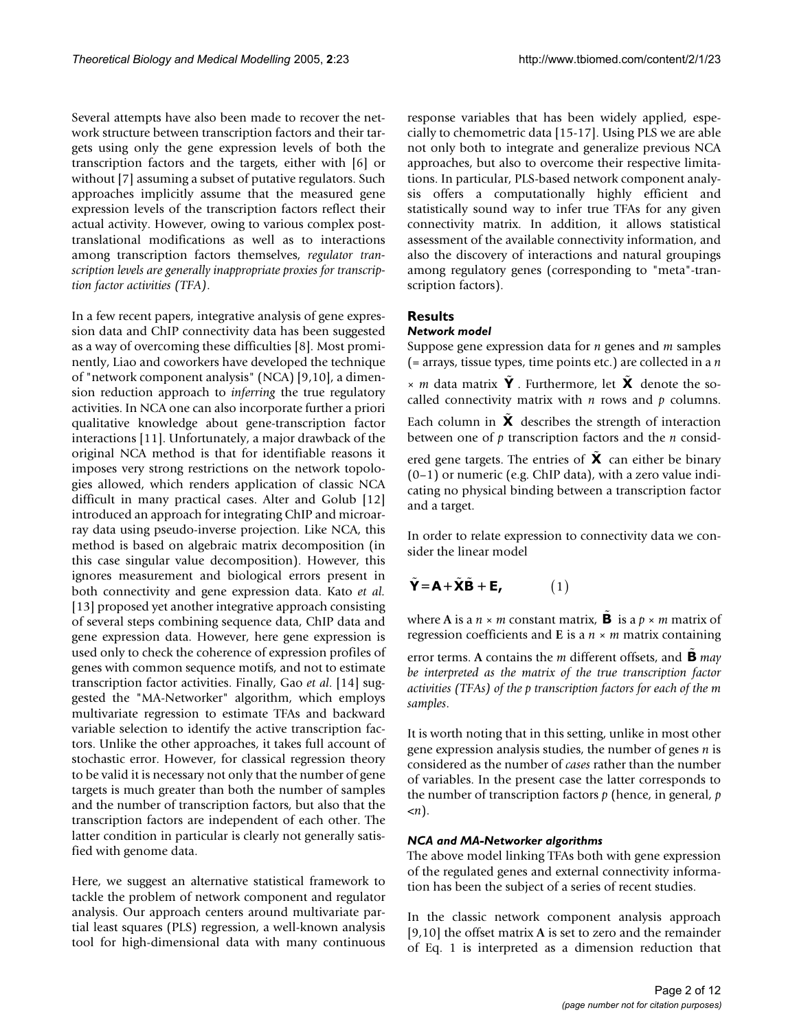Several attempts have also been made to recover the network structure between transcription factors and their targets using only the gene expression levels of both the transcription factors and the targets, either with [6] or without [7] assuming a subset of putative regulators. Such approaches implicitly assume that the measured gene expression levels of the transcription factors reflect their actual activity. However, owing to various complex posttranslational modifications as well as to interactions among transcription factors themselves, *regulator transcription levels are generally inappropriate proxies for transcription factor activities (TFA)*.

In a few recent papers, integrative analysis of gene expression data and ChIP connectivity data has been suggested as a way of overcoming these difficulties [8]. Most prominently, Liao and coworkers have developed the technique of "network component analysis" (NCA) [9,10], a dimension reduction approach to *inferring* the true regulatory activities. In NCA one can also incorporate further a priori qualitative knowledge about gene-transcription factor interactions [11]. Unfortunately, a major drawback of the original NCA method is that for identifiable reasons it imposes very strong restrictions on the network topologies allowed, which renders application of classic NCA difficult in many practical cases. Alter and Golub [12] introduced an approach for integrating ChIP and microarray data using pseudo-inverse projection. Like NCA, this method is based on algebraic matrix decomposition (in this case singular value decomposition). However, this ignores measurement and biological errors present in both connectivity and gene expression data. Kato *et al.* [13] proposed yet another integrative approach consisting of several steps combining sequence data, ChIP data and gene expression data. However, here gene expression is used only to check the coherence of expression profiles of genes with common sequence motifs, and not to estimate transcription factor activities. Finally, Gao *et al*. [14] suggested the "MA-Networker" algorithm, which employs multivariate regression to estimate TFAs and backward variable selection to identify the active transcription factors. Unlike the other approaches, it takes full account of stochastic error. However, for classical regression theory to be valid it is necessary not only that the number of gene targets is much greater than both the number of samples and the number of transcription factors, but also that the transcription factors are independent of each other. The latter condition in particular is clearly not generally satisfied with genome data.

Here, we suggest an alternative statistical framework to tackle the problem of network component and regulator analysis. Our approach centers around multivariate partial least squares (PLS) regression, a well-known analysis tool for high-dimensional data with many continuous response variables that has been widely applied, especially to chemometric data [15-17]. Using PLS we are able not only both to integrate and generalize previous NCA approaches, but also to overcome their respective limitations. In particular, PLS-based network component analysis offers a computationally highly efficient and statistically sound way to infer true TFAs for any given connectivity matrix. In addition, it allows statistical assessment of the available connectivity information, and also the discovery of interactions and natural groupings among regulatory genes (corresponding to "meta"-transcription factors).

# **Results**

#### *Network model*

Suppose gene expression data for *n* genes and *m* samples (= arrays, tissue types, time points etc.) are collected in a *n*

 $\times$  *m* data matrix  $\tilde{\mathbf{Y}}$  . Furthermore, let  $\tilde{\mathbf{X}}$  denote the socalled connectivity matrix with  $n$  rows and  $p$  columns.

Each column in  $\tilde{\mathbf{X}}$  describes the strength of interaction between one of *p* transcription factors and the *n* consid-

ered gene targets. The entries of  $\tilde{\mathbf{X}}$  can either be binary (0–1) or numeric (e.g. ChIP data), with a zero value indicating no physical binding between a transcription factor and a target.

In order to relate expression to connectivity data we consider the linear model

$$
\tilde{\mathbf{Y}} = \mathbf{A} + \tilde{\mathbf{X}} \tilde{\mathbf{B}} + \mathbf{E}, \qquad (1)
$$

where **A** is a  $n \times m$  constant matrix,  $\tilde{\mathbf{B}}$  is a  $p \times m$  matrix of regression coefficients and **E** is a *n* × *m* matrix containing

error terms. A contains the *m* different offsets, and  $\tilde{\mathbf{B}}$  *may be interpreted as the matrix of the true transcription factor activities (TFAs) of the p transcription factors for each of the m samples*.

It is worth noting that in this setting, unlike in most other gene expression analysis studies, the number of genes *n* is considered as the number of *cases* rather than the number of variables. In the present case the latter corresponds to the number of transcription factors *p* (hence, in general, *p* <*n*).

#### *NCA and MA-Networker algorithms*

The above model linking TFAs both with gene expression of the regulated genes and external connectivity information has been the subject of a series of recent studies.

In the classic network component analysis approach [9,10] the offset matrix **A** is set to zero and the remainder of Eq. 1 is interpreted as a dimension reduction that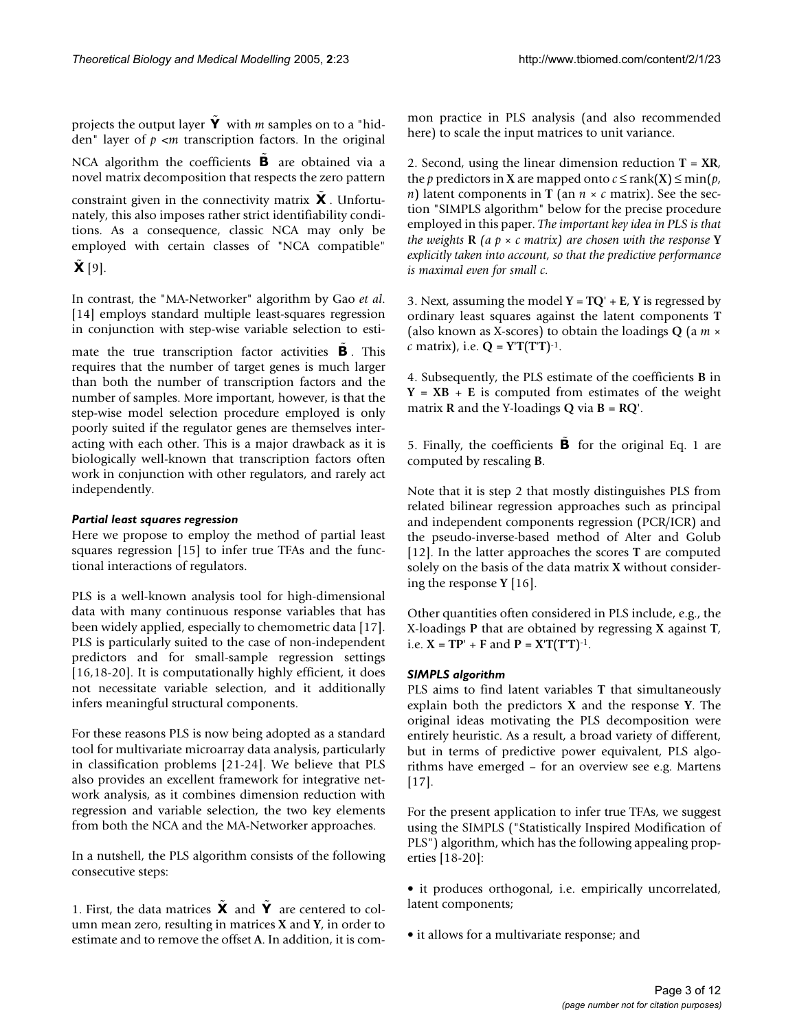projects the output layer  $\tilde{\mathbf{Y}}$  with *m* samples on to a "hidden" layer of *p* <*m* transcription factors. In the original NCA algorithm the coefficients  $\tilde{\mathbf{B}}$  are obtained via a novel matrix decomposition that respects the zero pattern constraint given in the connectivity matrix  $\tilde{\mathbf{X}}$  . Unfortunately, this also imposes rather strict identifiability condi-

tions. As a consequence, classic NCA may only be employed with certain classes of "NCA compatible"

$$
\tilde{\bm{X}}\, [9].
$$

In contrast, the "MA-Networker" algorithm by Gao *et al*. [14] employs standard multiple least-squares regression in conjunction with step-wise variable selection to esti-

mate the true transcription factor activities  $\tilde{\mathbf{B}}$ . This requires that the number of target genes is much larger than both the number of transcription factors and the number of samples. More important, however, is that the step-wise model selection procedure employed is only poorly suited if the regulator genes are themselves interacting with each other. This is a major drawback as it is biologically well-known that transcription factors often work in conjunction with other regulators, and rarely act independently.

# *Partial least squares regression*

Here we propose to employ the method of partial least squares regression [15] to infer true TFAs and the functional interactions of regulators.

PLS is a well-known analysis tool for high-dimensional data with many continuous response variables that has been widely applied, especially to chemometric data [17]. PLS is particularly suited to the case of non-independent predictors and for small-sample regression settings [16,18-20]. It is computationally highly efficient, it does not necessitate variable selection, and it additionally infers meaningful structural components.

For these reasons PLS is now being adopted as a standard tool for multivariate microarray data analysis, particularly in classification problems [21-24]. We believe that PLS also provides an excellent framework for integrative network analysis, as it combines dimension reduction with regression and variable selection, the two key elements from both the NCA and the MA-Networker approaches.

In a nutshell, the PLS algorithm consists of the following consecutive steps:

1. First, the data matrices  $\tilde{\mathbf{X}}$  and  $\tilde{\mathbf{Y}}$  are centered to column mean zero, resulting in matrices **X** and **Y**, in order to estimate and to remove the offset **A**. In addition, it is common practice in PLS analysis (and also recommended here) to scale the input matrices to unit variance.

2. Second, using the linear dimension reduction **T** = **XR**, the *p* predictors in **X** are mapped onto  $c \leq \text{rank}(\mathbf{X}) \leq \min(p,$ *n*) latent components in **T** (an  $n \times c$  matrix). See the section "SIMPLS algorithm" below for the precise procedure employed in this paper. *The important key idea in PLS is that the weights* **R** *(a p × c matrix) are chosen with the response* **Y** *explicitly taken into account, so that the predictive performance is maximal even for small c.*

3. Next, assuming the model  $Y = TQ' + E$ ,  $Y$  is regressed by ordinary least squares against the latent components **T** (also known as X-scores) to obtain the loadings **Q** (a *m* ×  $c$  matrix), i.e.  $Q = Y'T(T'T)^{-1}$ .

4. Subsequently, the PLS estimate of the coefficients **B** in  $Y = XB + E$  is computed from estimates of the weight matrix **R** and the Y-loadings  $Q$  via  $B = RQ'$ .

5. Finally, the coefficients  $\tilde{\mathbf{B}}$  for the original Eq. 1 are computed by rescaling **B**.

Note that it is step 2 that mostly distinguishes PLS from related bilinear regression approaches such as principal and independent components regression (PCR/ICR) and the pseudo-inverse-based method of Alter and Golub [12]. In the latter approaches the scores **T** are computed solely on the basis of the data matrix **X** without considering the response **Y** [16].

Other quantities often considered in PLS include, e.g., the X-loadings **P** that are obtained by regressing **X** against **T**, i.e.  $X = TP' + F$  and  $P = X'T(T'T)^{-1}$ .

## *SIMPLS algorithm*

PLS aims to find latent variables **T** that simultaneously explain both the predictors **X** and the response **Y**. The original ideas motivating the PLS decomposition were entirely heuristic. As a result, a broad variety of different, but in terms of predictive power equivalent, PLS algorithms have emerged – for an overview see e.g. Martens [17].

For the present application to infer true TFAs, we suggest using the SIMPLS ("Statistically Inspired Modification of PLS") algorithm, which has the following appealing properties [18-20]:

• it produces orthogonal, i.e. empirically uncorrelated, latent components;

• it allows for a multivariate response; and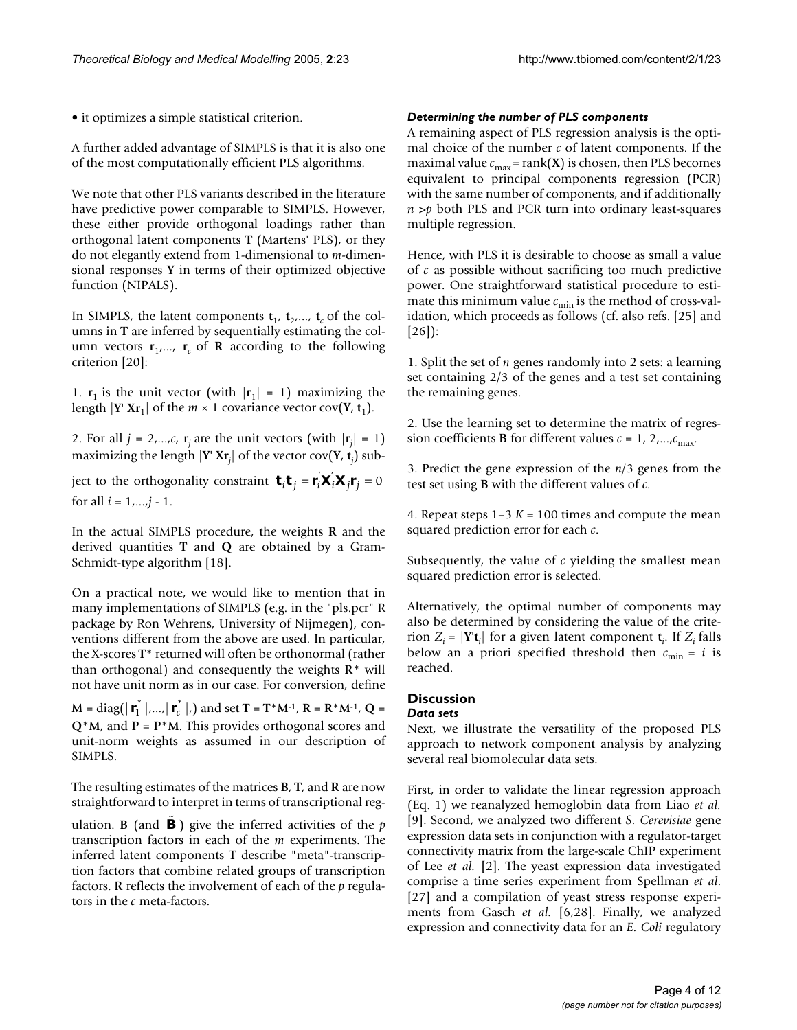• it optimizes a simple statistical criterion.

A further added advantage of SIMPLS is that it is also one of the most computationally efficient PLS algorithms.

We note that other PLS variants described in the literature have predictive power comparable to SIMPLS. However, these either provide orthogonal loadings rather than orthogonal latent components **T** (Martens' PLS), or they do not elegantly extend from 1-dimensional to *m*-dimensional responses **Y** in terms of their optimized objective function (NIPALS).

In SIMPLS, the latent components  $\mathbf{t}_1$ ,  $\mathbf{t}_2$ ,...,  $\mathbf{t}_c$  of the columns in **T** are inferred by sequentially estimating the column vectors  $\mathbf{r}_1$ ,...,  $\mathbf{r}_c$  of **R** according to the following criterion [20]:

1.  $\mathbf{r}_1$  is the unit vector (with  $|\mathbf{r}_1| = 1$ ) maximizing the length  $|Y' Xr_1|$  of the  $m \times 1$  covariance vector cov(**Y**, **t**<sub>1</sub>).

2. For all  $j = 2,...,c$ ,  $\mathbf{r}_j$  are the unit vectors (with  $|\mathbf{r}_j| = 1$ ) maximizing the length |**Y**' **Xr***<sup>j</sup>* | of the vector cov(**Y**, **t***<sup>j</sup>* ) sub-

ject to the orthogonality constraint  $\mathbf{t}_i \mathbf{t}_j = \mathbf{r}_i^{'} \mathbf{X}_i^{'} \mathbf{X}_j \mathbf{r}_j = 0$ for all  $i = 1,...,j - 1$ .

In the actual SIMPLS procedure, the weights **R** and the derived quantities **T** and **Q** are obtained by a Gram-Schmidt-type algorithm [18].

On a practical note, we would like to mention that in many implementations of SIMPLS (e.g. in the "pls.pcr" R package by Ron Wehrens, University of Nijmegen), conventions different from the above are used. In particular, the X-scores **T**\* returned will often be orthonormal (rather than orthogonal) and consequently the weights **R**\* will not have unit norm as in our case. For conversion, define

 $M = \text{diag}(|\mathbf{r}_1^*|,...,|\mathbf{r}_c^*|)$  and set  $T = T^*M^{-1}$ ,  $R = R^*M^{-1}$ ,  $Q =$ **Q**\***M**, and **P** = **P**\***M**. This provides orthogonal scores and unit-norm weights as assumed in our description of SIMPLS.

The resulting estimates of the matrices **B**, **T**, and **R** are now straightforward to interpret in terms of transcriptional reg-

ulation. **B** (and  $\tilde{\mathbf{B}}$ ) give the inferred activities of the  $p$ transcription factors in each of the *m* experiments. The inferred latent components **T** describe "meta"-transcription factors that combine related groups of transcription factors. **R** reflects the involvement of each of the *p* regulators in the *c* meta-factors.

# *Determining the number of PLS components*

A remaining aspect of PLS regression analysis is the optimal choice of the number *c* of latent components. If the maximal value  $c_{\text{max}}$  = rank(**X**) is chosen, then PLS becomes equivalent to principal components regression (PCR) with the same number of components, and if additionally *n* >*p* both PLS and PCR turn into ordinary least-squares multiple regression.

Hence, with PLS it is desirable to choose as small a value of *c* as possible without sacrificing too much predictive power. One straightforward statistical procedure to estimate this minimum value  $c_{\min}$  is the method of cross-validation, which proceeds as follows (cf. also refs. [25] and  $[26]$ :

1. Split the set of *n* genes randomly into 2 sets: a learning set containing 2/3 of the genes and a test set containing the remaining genes.

2. Use the learning set to determine the matrix of regression coefficients **B** for different values  $c = 1, 2, \ldots, c_{\text{max}}$ .

3. Predict the gene expression of the *n*/3 genes from the test set using **B** with the different values of *c*.

4. Repeat steps  $1-3 K = 100$  times and compute the mean squared prediction error for each *c*.

Subsequently, the value of *c* yielding the smallest mean squared prediction error is selected.

Alternatively, the optimal number of components may also be determined by considering the value of the criterion  $Z_i = |\mathbf{Y} \mathbf{t}_i|$  for a given latent component  $\mathbf{t}_i$ . If  $Z_i$  falls below an a priori specified threshold then  $c_{\min} = i$  is reached.

# **Discussion**

#### *Data sets*

Next, we illustrate the versatility of the proposed PLS approach to network component analysis by analyzing several real biomolecular data sets.

First, in order to validate the linear regression approach (Eq. 1) we reanalyzed hemoglobin data from Liao *et al.* [9]. Second, we analyzed two different *S. Cerevisiae* gene expression data sets in conjunction with a regulator-target connectivity matrix from the large-scale ChIP experiment of Lee *et al.* [2]. The yeast expression data investigated comprise a time series experiment from Spellman *et al*. [27] and a compilation of yeast stress response experiments from Gasch *et al.* [6,28]. Finally, we analyzed expression and connectivity data for an *E. Coli* regulatory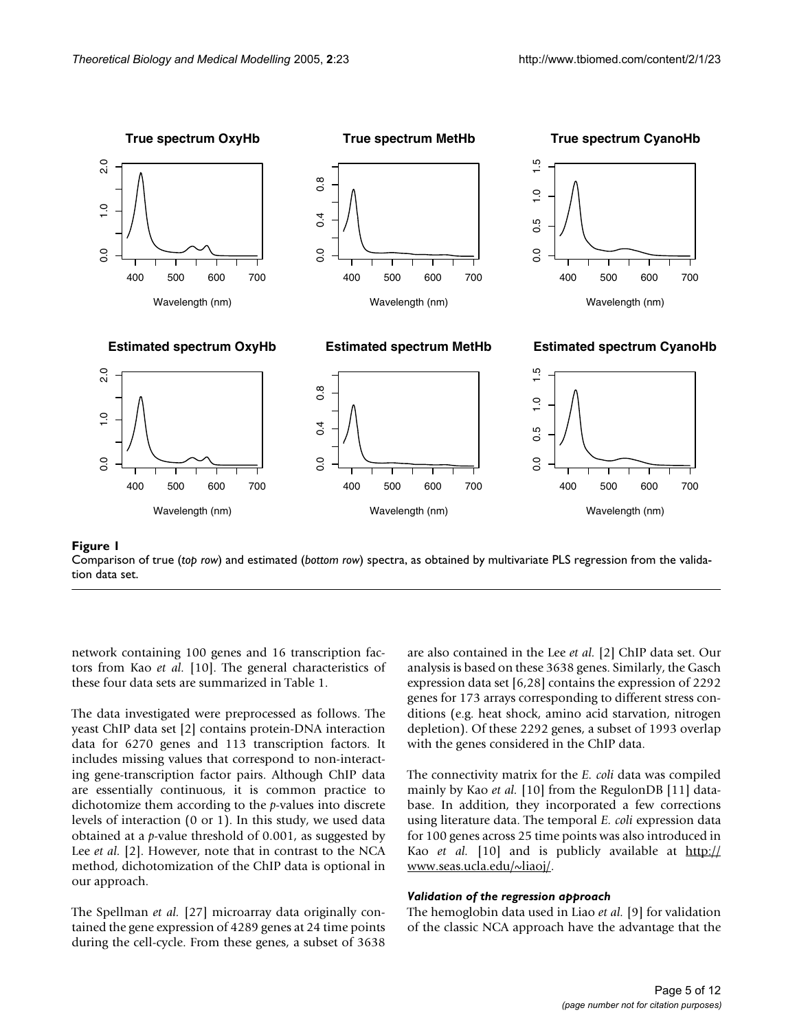<span id="page-4-0"></span>

# tion data set **Figure 1** Comparison of true (*top row*) and estimated (*bottom row*) spectra, as obtained by multivariate PLS regression from the valida-

Comparison of true (*top row*) and estimated (*bottom row*) spectra, as obtained by multivariate PLS regression from the validation data set.

network containing 100 genes and 16 transcription factors from Kao *et al.* [10]. The general characteristics of these four data sets are summarized in Table [1.](#page-5-0)

The data investigated were preprocessed as follows. The yeast ChIP data set [2] contains protein-DNA interaction data for 6270 genes and 113 transcription factors. It includes missing values that correspond to non-interacting gene-transcription factor pairs. Although ChIP data are essentially continuous, it is common practice to dichotomize them according to the *p*-values into discrete levels of interaction (0 or 1). In this study, we used data obtained at a *p*-value threshold of 0.001, as suggested by Lee *et al.* [2]. However, note that in contrast to the NCA method, dichotomization of the ChIP data is optional in our approach.

The Spellman *et al.* [27] microarray data originally contained the gene expression of 4289 genes at 24 time points during the cell-cycle. From these genes, a subset of 3638

are also contained in the Lee *et al.* [2] ChIP data set. Our analysis is based on these 3638 genes. Similarly, the Gasch expression data set [6,28] contains the expression of 2292 genes for 173 arrays corresponding to different stress conditions (e.g. heat shock, amino acid starvation, nitrogen depletion). Of these 2292 genes, a subset of 1993 overlap with the genes considered in the ChIP data.

The connectivity matrix for the *E. coli* data was compiled mainly by Kao *et al.* [10] from the RegulonDB [11] database. In addition, they incorporated a few corrections using literature data. The temporal *E. coli* expression data for 100 genes across 25 time points was also introduced in Kao *et al.* [10] and is publicly available at [http://](http://www.seas.ucla.edu/~liaoj/) [www.seas.ucla.edu/~liaoj/](http://www.seas.ucla.edu/~liaoj/).

## *Validation of the regression approach*

The hemoglobin data used in Liao *et al.* [9] for validation of the classic NCA approach have the advantage that the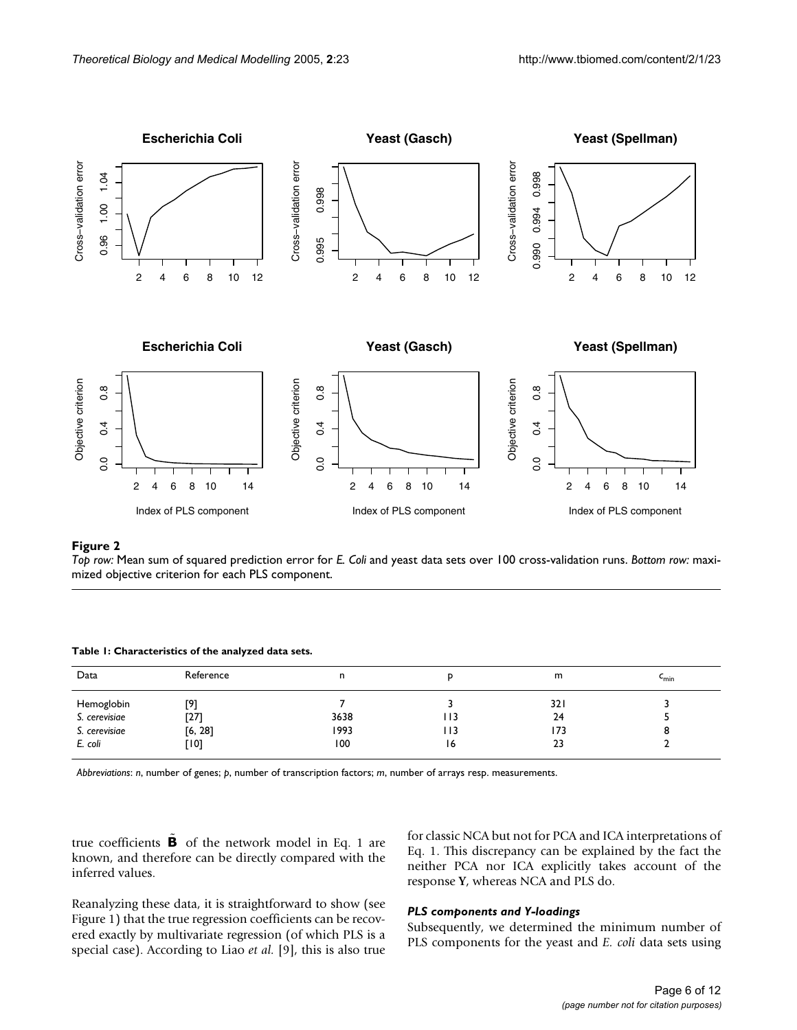<span id="page-5-1"></span>

## **Figure 2** *Top row:* Mean sum of squared prediction error for *E. Coli* and yeast data sets over 100 cross-validation runs

*Top row:* Mean sum of squared prediction error for *E. Coli* and yeast data sets over 100 cross-validation runs. *Bottom row:* maximized objective criterion for each PLS component.

| Data          | Reference | n    |       | m   | $L_{\text{min}}$ |
|---------------|-----------|------|-------|-----|------------------|
| Hemoglobin    | [9]       |      |       | 321 |                  |
| S. cerevisiae | [27]      | 3638 | l I 3 | 24  |                  |
| S. cerevisiae | [6, 28]   | 1993 | l I 3 | 173 |                  |
| E. coli       | [10]      | 100  | 16    | 23  |                  |

<span id="page-5-0"></span>**Table 1: Characteristics of the analyzed data sets.**

*Abbreviations*: *n*, number of genes; *p*, number of transcription factors; *m*, number of arrays resp. measurements.

true coefficients  $\tilde{\mathbf{B}}$  of the network model in Eq. 1 are known, and therefore can be directly compared with the inferred values.

for classic NCA but not for PCA and ICA interpretations of Eq. 1. This discrepancy can be explained by the fact the neither PCA nor ICA explicitly takes account of the response **Y**, whereas NCA and PLS do.

Reanalyzing these data, it is straightforward to show (see Figure [1\)](#page-4-0) that the true regression coefficients can be recovered exactly by multivariate regression (of which PLS is a special case). According to Liao *et al.* [9], this is also true

#### *PLS components and Y-loadings*

Subsequently, we determined the minimum number of PLS components for the yeast and *E. coli* data sets using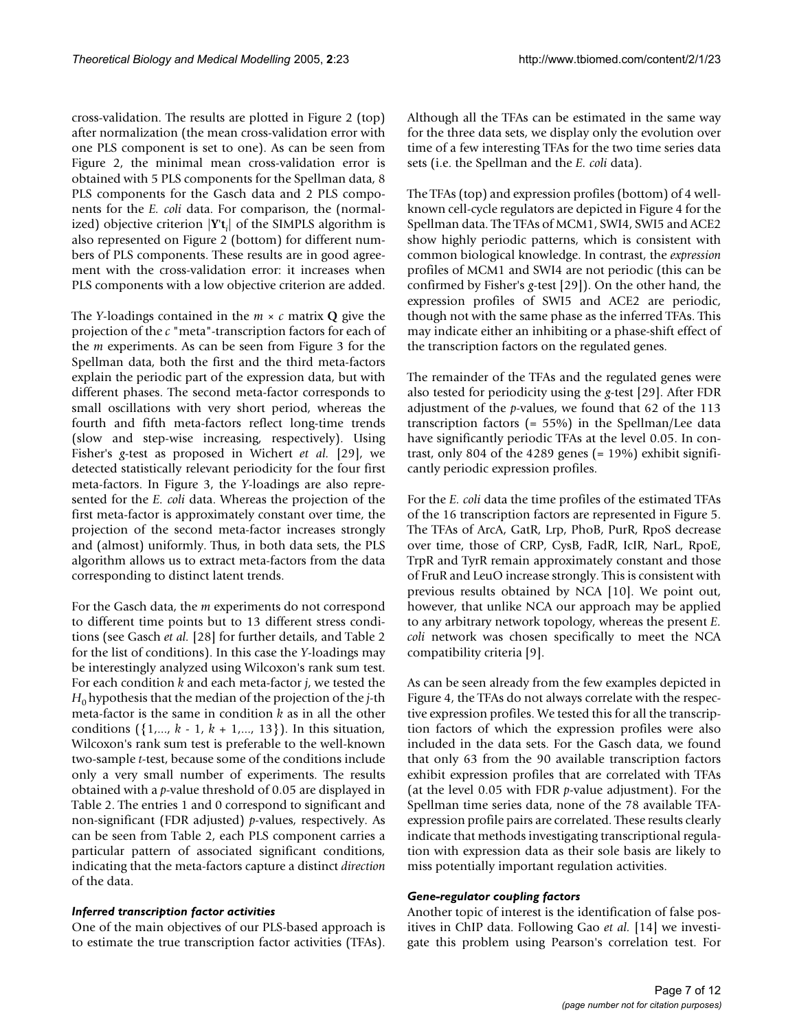cross-validation. The results are plotted in Figure [2](#page-5-1) (top) after normalization (the mean cross-validation error with one PLS component is set to one). As can be seen from Figure [2](#page-5-1), the minimal mean cross-validation error is obtained with 5 PLS components for the Spellman data, 8 PLS components for the Gasch data and 2 PLS components for the *E. coli* data. For comparison, the (normalized) objective criterion |**Y**'**t***<sup>i</sup>* | of the SIMPLS algorithm is also represented on Figure [2](#page-5-1) (bottom) for different numbers of PLS components. These results are in good agreement with the cross-validation error: it increases when PLS components with a low objective criterion are added.

The *Y*-loadings contained in the *m* × *c* matrix **Q** give the projection of the *c* "meta"-transcription factors for each of the *m* experiments. As can be seen from Figure [3](#page-7-0) for the Spellman data, both the first and the third meta-factors explain the periodic part of the expression data, but with different phases. The second meta-factor corresponds to small oscillations with very short period, whereas the fourth and fifth meta-factors reflect long-time trends (slow and step-wise increasing, respectively). Using Fisher's *g*-test as proposed in Wichert *et al.* [29], we detected statistically relevant periodicity for the four first meta-factors. In Figure [3,](#page-7-0) the *Y*-loadings are also represented for the *E. coli* data. Whereas the projection of the first meta-factor is approximately constant over time, the projection of the second meta-factor increases strongly and (almost) uniformly. Thus, in both data sets, the PLS algorithm allows us to extract meta-factors from the data corresponding to distinct latent trends.

For the Gasch data, the *m* experiments do not correspond to different time points but to 13 different stress conditions (see Gasch *et al.* [28] for further details, and Table [2](#page-8-0) for the list of conditions). In this case the *Y*-loadings may be interestingly analyzed using Wilcoxon's rank sum test. For each condition *k* and each meta-factor *j*, we tested the  $H_0$  hypothesis that the median of the projection of the *j*-th meta-factor is the same in condition *k* as in all the other conditions  $({1,\dots, k-1, k+1,\dots, 13})$ . In this situation, Wilcoxon's rank sum test is preferable to the well-known two-sample *t*-test, because some of the conditions include only a very small number of experiments. The results obtained with a *p*-value threshold of 0.05 are displayed in Table [2.](#page-8-0) The entries 1 and 0 correspond to significant and non-significant (FDR adjusted) *p*-values, respectively. As can be seen from Table [2](#page-8-0), each PLS component carries a particular pattern of associated significant conditions, indicating that the meta-factors capture a distinct *direction* of the data.

#### *Inferred transcription factor activities*

One of the main objectives of our PLS-based approach is to estimate the true transcription factor activities (TFAs).

Although all the TFAs can be estimated in the same way for the three data sets, we display only the evolution over time of a few interesting TFAs for the two time series data sets (i.e. the Spellman and the *E. coli* data).

The TFAs (top) and expression profiles (bottom) of 4 wellknown cell-cycle regulators are depicted in Figure [4](#page-8-1) for the Spellman data. The TFAs of MCM1, SWI4, SWI5 and ACE2 show highly periodic patterns, which is consistent with common biological knowledge. In contrast, the *expression* profiles of MCM1 and SWI4 are not periodic (this can be confirmed by Fisher's *g*-test [29]). On the other hand, the expression profiles of SWI5 and ACE2 are periodic, though not with the same phase as the inferred TFAs. This may indicate either an inhibiting or a phase-shift effect of the transcription factors on the regulated genes.

The remainder of the TFAs and the regulated genes were also tested for periodicity using the *g*-test [29]. After FDR adjustment of the *p*-values, we found that 62 of the 113 transcription factors (= 55%) in the Spellman/Lee data have significantly periodic TFAs at the level 0.05. In contrast, only 804 of the 4289 genes (= 19%) exhibit significantly periodic expression profiles.

For the *E. coli* data the time profiles of the estimated TFAs of the 16 transcription factors are represented in Figure [5.](#page-9-0) The TFAs of ArcA, GatR, Lrp, PhoB, PurR, RpoS decrease over time, those of CRP, CysB, FadR, IcIR, NarL, RpoE, TrpR and TyrR remain approximately constant and those of FruR and LeuO increase strongly. This is consistent with previous results obtained by NCA [10]. We point out, however, that unlike NCA our approach may be applied to any arbitrary network topology, whereas the present *E. coli* network was chosen specifically to meet the NCA compatibility criteria [9].

As can be seen already from the few examples depicted in Figure [4,](#page-8-1) the TFAs do not always correlate with the respective expression profiles. We tested this for all the transcription factors of which the expression profiles were also included in the data sets. For the Gasch data, we found that only 63 from the 90 available transcription factors exhibit expression profiles that are correlated with TFAs (at the level 0.05 with FDR *p*-value adjustment). For the Spellman time series data, none of the 78 available TFAexpression profile pairs are correlated. These results clearly indicate that methods investigating transcriptional regulation with expression data as their sole basis are likely to miss potentially important regulation activities.

#### *Gene-regulator coupling factors*

Another topic of interest is the identification of false positives in ChIP data. Following Gao *et al.* [14] we investigate this problem using Pearson's correlation test. For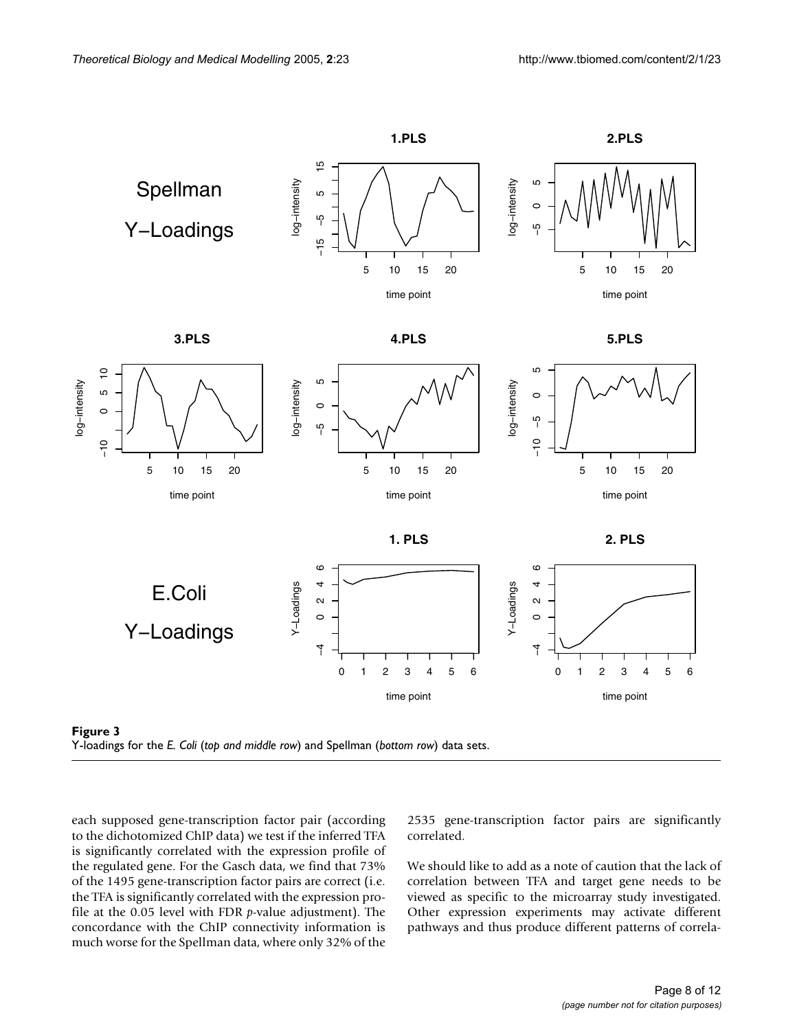<span id="page-7-0"></span>



each supposed gene-transcription factor pair (according to the dichotomized ChIP data) we test if the inferred TFA is significantly correlated with the expression profile of the regulated gene. For the Gasch data, we find that 73% of the 1495 gene-transcription factor pairs are correct (i.e. the TFA is significantly correlated with the expression profile at the 0.05 level with FDR *p*-value adjustment). The concordance with the ChIP connectivity information is much worse for the Spellman data, where only 32% of the 2535 gene-transcription factor pairs are significantly correlated.

We should like to add as a note of caution that the lack of correlation between TFA and target gene needs to be viewed as specific to the microarray study investigated. Other expression experiments may activate different pathways and thus produce different patterns of correla-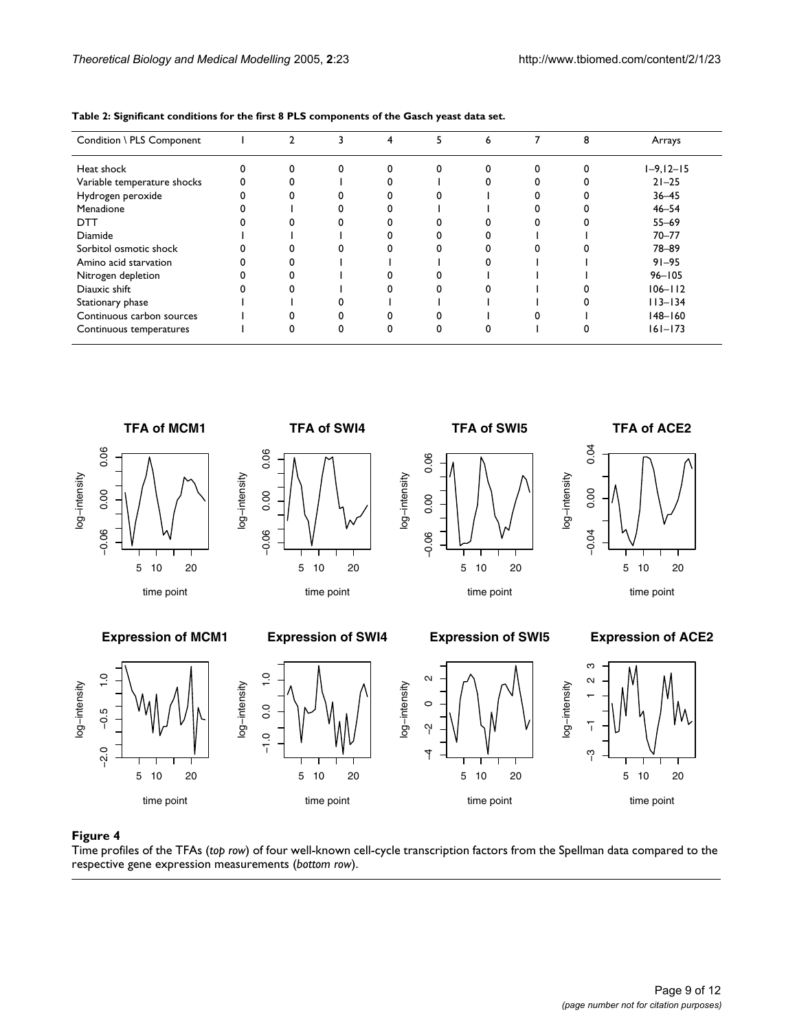| Condition \ PLS Component   |   |          | 3 | 4 | 5. | 6 |   | 8 | Arrays           |
|-----------------------------|---|----------|---|---|----|---|---|---|------------------|
| Heat shock                  | 0 | $\Omega$ | 0 | 0 | 0  | 0 | 0 |   | $1 - 9, 12 - 15$ |
| Variable temperature shocks |   |          |   |   |    |   |   |   | $21 - 25$        |
| Hydrogen peroxide           |   |          |   |   |    |   |   |   | $36 - 45$        |
| Menadione                   |   |          |   |   |    |   |   |   | $46 - 54$        |
| DTT                         |   |          |   | O |    |   |   |   | $55 - 69$        |
| Diamide                     |   |          |   |   |    |   |   |   | $70 - 77$        |
| Sorbitol osmotic shock      |   |          |   | ŋ |    |   |   |   | 78-89            |
| Amino acid starvation       |   |          |   |   |    |   |   |   | $91 - 95$        |
| Nitrogen depletion          |   |          |   |   |    |   |   |   | $96 - 105$       |
| Diauxic shift               |   |          |   |   |    |   |   |   | $106 - 112$      |
| Stationary phase            |   |          |   |   |    |   |   |   | $113 - 134$      |
| Continuous carbon sources   |   |          |   |   |    |   |   |   | $148 - 160$      |
| Continuous temperatures     |   | 0        | O | 0 |    |   |   |   | $161 - 173$      |

<span id="page-8-0"></span>

<span id="page-8-1"></span>

#### **Figure 4** Time profiles of the TFAs ( respective gene expression measurements ( *top row*) of four well-known cell-cycle *bottom row*) transcription factors from the Spellman data compared to the

Time profiles of the TFAs (*top row*) of four well-known cell-cycle transcription factors from the Spellman data compared to the respective gene expression measurements (*bottom row*).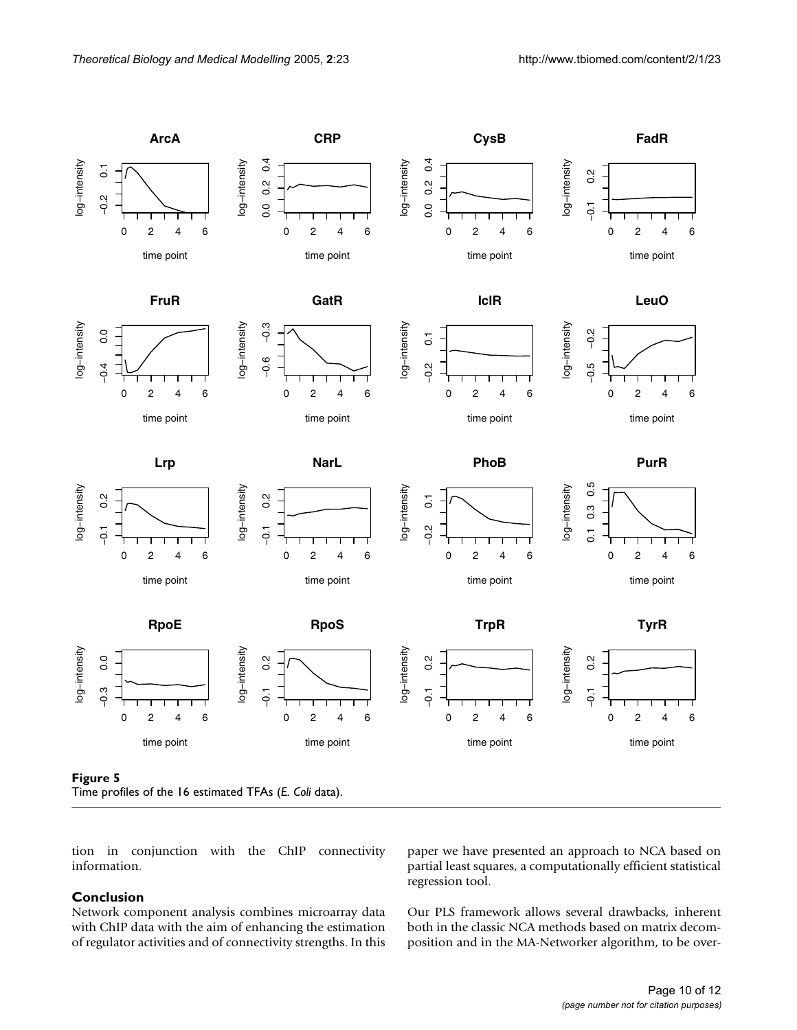<span id="page-9-0"></span>

**Figure 5** 

Time profiles of the 16 estimated TFAs (*E. Coli* data).

tion in conjunction with the ChIP connectivity information.

# **Conclusion**

Network component analysis combines microarray data with ChIP data with the aim of enhancing the estimation of regulator activities and of connectivity strengths. In this paper we have presented an approach to NCA based on partial least squares, a computationally efficient statistical regression tool.

Our PLS framework allows several drawbacks, inherent both in the classic NCA methods based on matrix decomposition and in the MA-Networker algorithm, to be over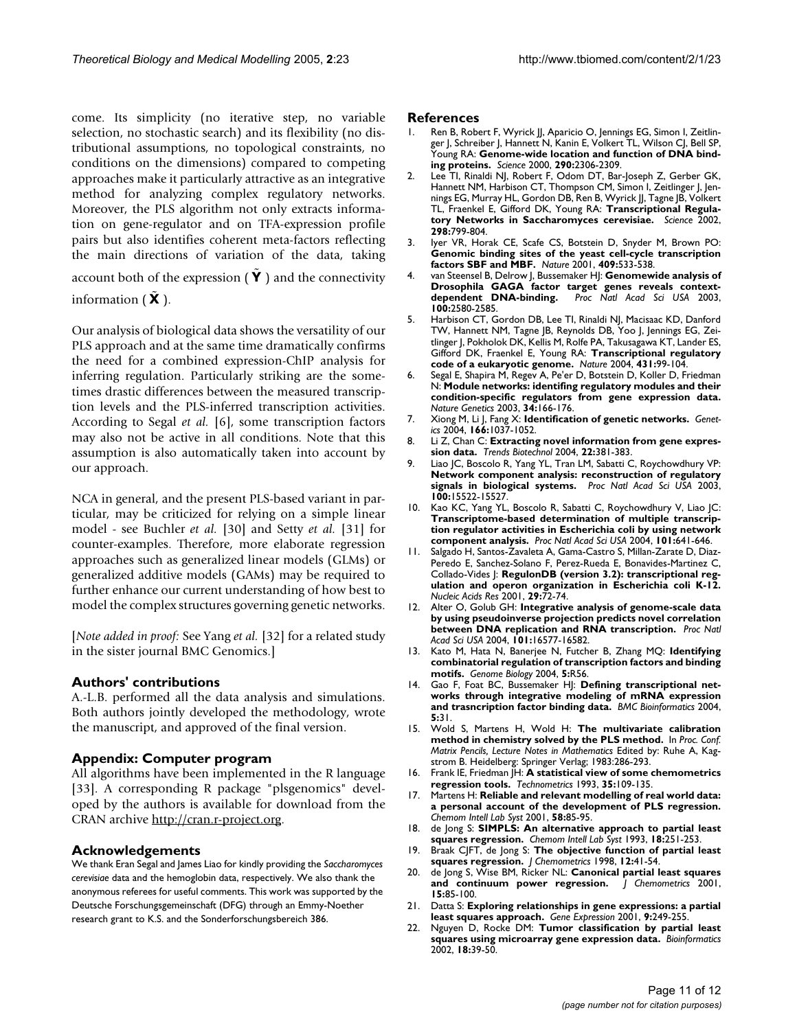come. Its simplicity (no iterative step, no variable selection, no stochastic search) and its flexibility (no distributional assumptions, no topological constraints, no conditions on the dimensions) compared to competing approaches make it particularly attractive as an integrative method for analyzing complex regulatory networks. Moreover, the PLS algorithm not only extracts information on gene-regulator and on TFA-expression profile pairs but also identifies coherent meta-factors reflecting the main directions of variation of the data, taking

account both of the expression ( $\tilde{\mathbf{Y}}$ ) and the connectivity information ( $\tilde{\mathbf{X}}$ ).

Our analysis of biological data shows the versatility of our PLS approach and at the same time dramatically confirms the need for a combined expression-ChIP analysis for inferring regulation. Particularly striking are the sometimes drastic differences between the measured transcription levels and the PLS-inferred transcription activities. According to Segal *et al.* [6], some transcription factors may also not be active in all conditions. Note that this assumption is also automatically taken into account by our approach.

NCA in general, and the present PLS-based variant in particular, may be criticized for relying on a simple linear model - see Buchler *et al.* [30] and Setty *et al.* [31] for counter-examples. Therefore, more elaborate regression approaches such as generalized linear models (GLMs) or generalized additive models (GAMs) may be required to further enhance our current understanding of how best to model the complex structures governing genetic networks.

[*Note added in proof:* See Yang *et al.* [32] for a related study in the sister journal BMC Genomics.]

# **Authors' contributions**

A.-L.B. performed all the data analysis and simulations. Both authors jointly developed the methodology, wrote the manuscript, and approved of the final version.

## **Appendix: Computer program**

All algorithms have been implemented in the R language [33]. A corresponding R package "plsgenomics" developed by the authors is available for download from the CRAN archive <http://cran.r-project.org>.

# **Acknowledgements**

We thank Eran Segal and James Liao for kindly providing the *Saccharomyces cerevisiae* data and the hemoglobin data, respectively. We also thank the anonymous referees for useful comments. This work was supported by the Deutsche Forschungsgemeinschaft (DFG) through an Emmy-Noether research grant to K.S. and the Sonderforschungsbereich 386.

#### **References**

- 1. Ren B, Robert F, Wyrick JJ, Aparicio O, Jennings EG, Simon I, Zeitlinger J, Schreiber J, Hannett N, Kanin E, Volkert TL, Wilson CJ, Bell SP, Young RA: **[Genome-wide location and function of DNA bind](http://www.ncbi.nlm.nih.gov/entrez/query.fcgi?cmd=Retrieve&db=PubMed&dopt=Abstract&list_uids=11125145)[ing proteins.](http://www.ncbi.nlm.nih.gov/entrez/query.fcgi?cmd=Retrieve&db=PubMed&dopt=Abstract&list_uids=11125145)** *Science* 2000, **290:**2306-2309.
- 2. Lee TI, Rinaldi NJ, Robert F, Odom DT, Bar-Joseph Z, Gerber GK, Hannett NM, Harbison CT, Thompson CM, Simon I, Zeitlinger J, Jennings EG, Murray HL, Gordon DB, Ren B, Wyrick JJ, Tagne JB, Volkert TL, Fraenkel E, Gifford DK, Young RA: **[Transcriptional Regula](http://www.ncbi.nlm.nih.gov/entrez/query.fcgi?cmd=Retrieve&db=PubMed&dopt=Abstract&list_uids=12399584)[tory Networks in Saccharomyces cerevisiae.](http://www.ncbi.nlm.nih.gov/entrez/query.fcgi?cmd=Retrieve&db=PubMed&dopt=Abstract&list_uids=12399584)** *Science* 2002, **298:**799-804.
- 3. Iyer VR, Horak CE, Scafe CS, Botstein D, Snyder M, Brown PO: **[Genomic binding sites of the yeast cell-cycle transcription](http://www.ncbi.nlm.nih.gov/entrez/query.fcgi?cmd=Retrieve&db=PubMed&dopt=Abstract&list_uids=11206552) [factors SBF and MBF.](http://www.ncbi.nlm.nih.gov/entrez/query.fcgi?cmd=Retrieve&db=PubMed&dopt=Abstract&list_uids=11206552)** *Nature* 2001, **409:**533-538.
- 4. van Steensel B, Delrow J, Bussemaker HJ: **[Genomewide analysis of](http://www.ncbi.nlm.nih.gov/entrez/query.fcgi?cmd=Retrieve&db=PubMed&dopt=Abstract&list_uids=12601174) Drosophila GAGA factor target genes reveals context-<br>dependent DNA-binding.** Proc Natl Acad Sci USA 2003, Proc Natl Acad Sci USA 2003, **100:**2580-2585.
- 5. Harbison CT, Gordon DB, Lee TI, Rinaldi NJ, Macisaac KD, Danford TW, Hannett NM, Tagne JB, Reynolds DB, Yoo J, Jennings EG, Zeitlinger J, Pokholok DK, Kellis M, Rolfe PA, Takusagawa KT, Lander ES, Gifford DK, Fraenkel E, Young RA: **[Transcriptional regulatory](http://www.ncbi.nlm.nih.gov/entrez/query.fcgi?cmd=Retrieve&db=PubMed&dopt=Abstract&list_uids=15343339) [code of a eukaryotic genome.](http://www.ncbi.nlm.nih.gov/entrez/query.fcgi?cmd=Retrieve&db=PubMed&dopt=Abstract&list_uids=15343339)** *Nature* 2004, **431:**99-104.
- 6. Segal E, Shapira M, Regev A, Pe'er D, Botstein D, Koller D, Friedman N: **[Module networks: identifing regulatory modules and their](http://www.ncbi.nlm.nih.gov/entrez/query.fcgi?cmd=Retrieve&db=PubMed&dopt=Abstract&list_uids=12740579) [condition-specific regulators from gene expression data.](http://www.ncbi.nlm.nih.gov/entrez/query.fcgi?cmd=Retrieve&db=PubMed&dopt=Abstract&list_uids=12740579)** *Nature Genetics* 2003, **34:**166-176.
- 7. Xiong M, Li J, Fang X: **[Identification of genetic networks.](http://www.ncbi.nlm.nih.gov/entrez/query.fcgi?cmd=Retrieve&db=PubMed&dopt=Abstract&list_uids=15020486)** *Genetics* 2004, **166:**1037-1052.
- 8. Li Z, Chan C: **[Extracting novel information from gene expres](http://www.ncbi.nlm.nih.gov/entrez/query.fcgi?cmd=Retrieve&db=PubMed&dopt=Abstract&list_uids=15283978)[sion data.](http://www.ncbi.nlm.nih.gov/entrez/query.fcgi?cmd=Retrieve&db=PubMed&dopt=Abstract&list_uids=15283978)** *Trends Biotechnol* 2004, **22:**381-383.
- 9. Liao JC, Boscolo R, Yang YL, Tran LM, Sabatti C, Roychowdhury VP: **[Network component analysis: reconstruction of regulatory](http://www.ncbi.nlm.nih.gov/entrez/query.fcgi?cmd=Retrieve&db=PubMed&dopt=Abstract&list_uids=14673099) [signals in biological systems.](http://www.ncbi.nlm.nih.gov/entrez/query.fcgi?cmd=Retrieve&db=PubMed&dopt=Abstract&list_uids=14673099)** *Proc Natl Acad Sci USA* 2003, **100:**15522-15527.
- 10. Kao KC, Yang YL, Boscolo R, Sabatti C, Roychowdhury V, Liao JC: **[Transcriptome-based determination of multiple transcrip](http://www.ncbi.nlm.nih.gov/entrez/query.fcgi?cmd=Retrieve&db=PubMed&dopt=Abstract&list_uids=14694202)tion regulator activities in Escherichia coli by using network [component analysis.](http://www.ncbi.nlm.nih.gov/entrez/query.fcgi?cmd=Retrieve&db=PubMed&dopt=Abstract&list_uids=14694202)** *Proc Natl Acad Sci USA* 2004, **101:**641-646.
- 11. Salgado H, Santos-Zavaleta A, Gama-Castro S, Millan-Zarate D, Diaz-Peredo E, Sanchez-Solano F, Perez-Rueda E, Bonavides-Martinez C, Collado-Vides J: **[RegulonDB \(version 3.2\): transcriptional reg](http://www.ncbi.nlm.nih.gov/entrez/query.fcgi?cmd=Retrieve&db=PubMed&dopt=Abstract&list_uids=11125053)[ulation and operon organization in Escherichia coli K-12.](http://www.ncbi.nlm.nih.gov/entrez/query.fcgi?cmd=Retrieve&db=PubMed&dopt=Abstract&list_uids=11125053)** *Nucleic Acids Res* 2001, **29:**72-74.
- 12. Alter O, Golub GH: **[Integrative analysis of genome-scale data](http://www.ncbi.nlm.nih.gov/entrez/query.fcgi?cmd=Retrieve&db=PubMed&dopt=Abstract&list_uids=15545604) [by using pseudoinverse projection predicts novel correlation](http://www.ncbi.nlm.nih.gov/entrez/query.fcgi?cmd=Retrieve&db=PubMed&dopt=Abstract&list_uids=15545604) [between DNA replication and RNA transcription.](http://www.ncbi.nlm.nih.gov/entrez/query.fcgi?cmd=Retrieve&db=PubMed&dopt=Abstract&list_uids=15545604)** *Proc Natl Acad Sci USA* 2004, **101:**16577-16582.
- 13. Kato M, Hata N, Banerjee N, Futcher B, Zhang MQ: **[Identifying](http://www.ncbi.nlm.nih.gov/entrez/query.fcgi?cmd=Retrieve&db=PubMed&dopt=Abstract&list_uids=15287978) [combinatorial regulation of transcription factors and binding](http://www.ncbi.nlm.nih.gov/entrez/query.fcgi?cmd=Retrieve&db=PubMed&dopt=Abstract&list_uids=15287978) [motifs.](http://www.ncbi.nlm.nih.gov/entrez/query.fcgi?cmd=Retrieve&db=PubMed&dopt=Abstract&list_uids=15287978)** *Genome Biology* 2004, **5:**R56.
- 14. Gao F, Foat BC, Bussemaker HJ: **[Defining transcriptional net](http://www.ncbi.nlm.nih.gov/entrez/query.fcgi?cmd=Retrieve&db=PubMed&dopt=Abstract&list_uids=15113405)[works through integrative modeling of mRNA expression](http://www.ncbi.nlm.nih.gov/entrez/query.fcgi?cmd=Retrieve&db=PubMed&dopt=Abstract&list_uids=15113405) [and trasncription factor binding data.](http://www.ncbi.nlm.nih.gov/entrez/query.fcgi?cmd=Retrieve&db=PubMed&dopt=Abstract&list_uids=15113405)** *BMC Bioinformatics* 2004, **5:**31.
- 15. Wold S, Martens H, Wold H: **The multivariate calibration method in chemistry solved by the PLS method.** In *Proc. Conf. Matrix Pencils, Lecture Notes in Mathematics* Edited by: Ruhe A, Kagstrom B. Heidelberg: Springer Verlag; 1983:286-293.
- 16. Frank IE, Friedman JH: **A statistical view of some chemometrics regression tools.** *Technometrics* 1993, **35:**109-135.
- 17. Martens H: **Reliable and relevant modelling of real world data: a personal account of the development of PLS regression.** *Chemom Intell Lab Syst* 2001, **58:**85-95.
- 18. de Jong S: **SIMPLS: An alternative approach to partial least squares regression.** *Chemom Intell Lab Syst* 1993, **18:**251-253.
- 19. Braak CJFT, de Jong S: **The objective function of partial least squares regression.** *J Chemometrics* 1998, **12:**41-54.
- 20. de Jong S, Wise BM, Ricker NL: **Canonical partial least squares and continuum power regression.** *J Chemometrics* 2001, **15:**85-100.
- 21. Datta S: **[Exploring relationships in gene expressions: a partial](http://www.ncbi.nlm.nih.gov/entrez/query.fcgi?cmd=Retrieve&db=PubMed&dopt=Abstract&list_uids=11763996) [least squares approach.](http://www.ncbi.nlm.nih.gov/entrez/query.fcgi?cmd=Retrieve&db=PubMed&dopt=Abstract&list_uids=11763996)** *Gene Expression* 2001, **9:**249-255.
- 22. Nguyen D, Rocke DM: **[Tumor classification by partial least](http://www.ncbi.nlm.nih.gov/entrez/query.fcgi?cmd=Retrieve&db=PubMed&dopt=Abstract&list_uids=11836210) [squares using microarray gene expression data.](http://www.ncbi.nlm.nih.gov/entrez/query.fcgi?cmd=Retrieve&db=PubMed&dopt=Abstract&list_uids=11836210)** *Bioinformatics* 2002, **18:**39-50.